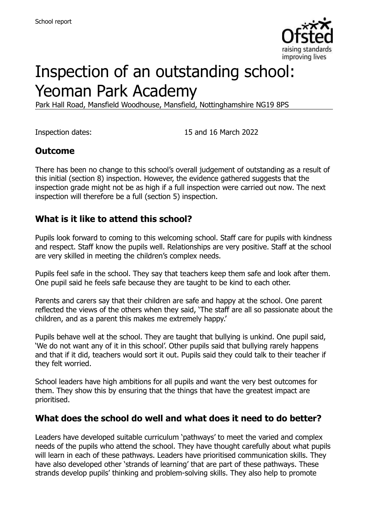

# Inspection of an outstanding school: Yeoman Park Academy

Park Hall Road, Mansfield Woodhouse, Mansfield, Nottinghamshire NG19 8PS

Inspection dates: 15 and 16 March 2022

#### **Outcome**

There has been no change to this school's overall judgement of outstanding as a result of this initial (section 8) inspection. However, the evidence gathered suggests that the inspection grade might not be as high if a full inspection were carried out now. The next inspection will therefore be a full (section 5) inspection.

#### **What is it like to attend this school?**

Pupils look forward to coming to this welcoming school. Staff care for pupils with kindness and respect. Staff know the pupils well. Relationships are very positive. Staff at the school are very skilled in meeting the children's complex needs.

Pupils feel safe in the school. They say that teachers keep them safe and look after them. One pupil said he feels safe because they are taught to be kind to each other.

Parents and carers say that their children are safe and happy at the school. One parent reflected the views of the others when they said, 'The staff are all so passionate about the children, and as a parent this makes me extremely happy.'

Pupils behave well at the school. They are taught that bullying is unkind. One pupil said, 'We do not want any of it in this school'. Other pupils said that bullying rarely happens and that if it did, teachers would sort it out. Pupils said they could talk to their teacher if they felt worried.

School leaders have high ambitions for all pupils and want the very best outcomes for them. They show this by ensuring that the things that have the greatest impact are prioritised.

#### **What does the school do well and what does it need to do better?**

Leaders have developed suitable curriculum 'pathways' to meet the varied and complex needs of the pupils who attend the school. They have thought carefully about what pupils will learn in each of these pathways. Leaders have prioritised communication skills. They have also developed other 'strands of learning' that are part of these pathways. These strands develop pupils' thinking and problem-solving skills. They also help to promote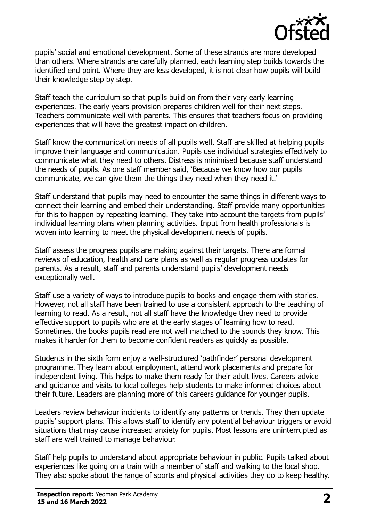

pupils' social and emotional development. Some of these strands are more developed than others. Where strands are carefully planned, each learning step builds towards the identified end point. Where they are less developed, it is not clear how pupils will build their knowledge step by step.

Staff teach the curriculum so that pupils build on from their very early learning experiences. The early years provision prepares children well for their next steps. Teachers communicate well with parents. This ensures that teachers focus on providing experiences that will have the greatest impact on children.

Staff know the communication needs of all pupils well. Staff are skilled at helping pupils improve their language and communication. Pupils use individual strategies effectively to communicate what they need to others. Distress is minimised because staff understand the needs of pupils. As one staff member said, 'Because we know how our pupils communicate, we can give them the things they need when they need it.'

Staff understand that pupils may need to encounter the same things in different ways to connect their learning and embed their understanding. Staff provide many opportunities for this to happen by repeating learning. They take into account the targets from pupils' individual learning plans when planning activities. Input from health professionals is woven into learning to meet the physical development needs of pupils.

Staff assess the progress pupils are making against their targets. There are formal reviews of education, health and care plans as well as regular progress updates for parents. As a result, staff and parents understand pupils' development needs exceptionally well.

Staff use a variety of ways to introduce pupils to books and engage them with stories. However, not all staff have been trained to use a consistent approach to the teaching of learning to read. As a result, not all staff have the knowledge they need to provide effective support to pupils who are at the early stages of learning how to read. Sometimes, the books pupils read are not well matched to the sounds they know. This makes it harder for them to become confident readers as quickly as possible.

Students in the sixth form enjoy a well-structured 'pathfinder' personal development programme. They learn about employment, attend work placements and prepare for independent living. This helps to make them ready for their adult lives. Careers advice and guidance and visits to local colleges help students to make informed choices about their future. Leaders are planning more of this careers guidance for younger pupils.

Leaders review behaviour incidents to identify any patterns or trends. They then update pupils' support plans. This allows staff to identify any potential behaviour triggers or avoid situations that may cause increased anxiety for pupils. Most lessons are uninterrupted as staff are well trained to manage behaviour.

Staff help pupils to understand about appropriate behaviour in public. Pupils talked about experiences like going on a train with a member of staff and walking to the local shop. They also spoke about the range of sports and physical activities they do to keep healthy.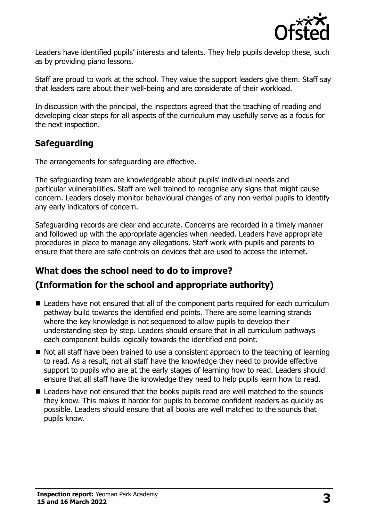

Leaders have identified pupils' interests and talents. They help pupils develop these, such as by providing piano lessons.

Staff are proud to work at the school. They value the support leaders give them. Staff say that leaders care about their well-being and are considerate of their workload.

In discussion with the principal, the inspectors agreed that the teaching of reading and developing clear steps for all aspects of the curriculum may usefully serve as a focus for the next inspection.

# **Safeguarding**

The arrangements for safeguarding are effective.

The safeguarding team are knowledgeable about pupils' individual needs and particular vulnerabilities. Staff are well trained to recognise any signs that might cause concern. Leaders closely monitor behavioural changes of any non-verbal pupils to identify any early indicators of concern.

Safeguarding records are clear and accurate. Concerns are recorded in a timely manner and followed up with the appropriate agencies when needed. Leaders have appropriate procedures in place to manage any allegations. Staff work with pupils and parents to ensure that there are safe controls on devices that are used to access the internet.

# **What does the school need to do to improve?**

# **(Information for the school and appropriate authority)**

- Leaders have not ensured that all of the component parts required for each curriculum pathway build towards the identified end points. There are some learning strands where the key knowledge is not sequenced to allow pupils to develop their understanding step by step. Leaders should ensure that in all curriculum pathways each component builds logically towards the identified end point.
- Not all staff have been trained to use a consistent approach to the teaching of learning to read. As a result, not all staff have the knowledge they need to provide effective support to pupils who are at the early stages of learning how to read. Leaders should ensure that all staff have the knowledge they need to help pupils learn how to read.
- Leaders have not ensured that the books pupils read are well matched to the sounds they know. This makes it harder for pupils to become confident readers as quickly as possible. Leaders should ensure that all books are well matched to the sounds that pupils know.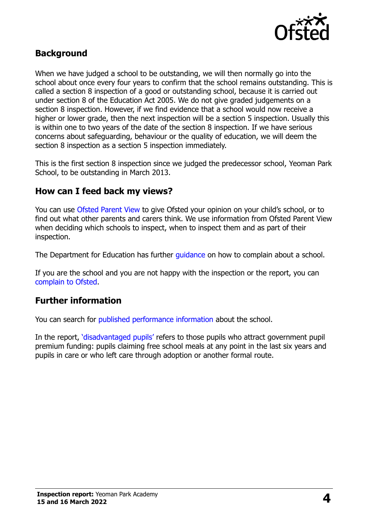

#### **Background**

When we have judged a school to be outstanding, we will then normally go into the school about once every four years to confirm that the school remains outstanding. This is called a section 8 inspection of a good or outstanding school, because it is carried out under section 8 of the Education Act 2005. We do not give graded judgements on a section 8 inspection. However, if we find evidence that a school would now receive a higher or lower grade, then the next inspection will be a section 5 inspection. Usually this is within one to two years of the date of the section 8 inspection. If we have serious concerns about safeguarding, behaviour or the quality of education, we will deem the section 8 inspection as a section 5 inspection immediately.

This is the first section 8 inspection since we judged the predecessor school, Yeoman Park School, to be outstanding in March 2013.

#### **How can I feed back my views?**

You can use [Ofsted Parent View](https://parentview.ofsted.gov.uk/) to give Ofsted your opinion on your child's school, or to find out what other parents and carers think. We use information from Ofsted Parent View when deciding which schools to inspect, when to inspect them and as part of their inspection.

The Department for Education has further quidance on how to complain about a school.

If you are the school and you are not happy with the inspection or the report, you can [complain to Ofsted.](https://www.gov.uk/complain-ofsted-report)

#### **Further information**

You can search for [published performance information](http://www.compare-school-performance.service.gov.uk/) about the school.

In the report, '[disadvantaged pupils](http://www.gov.uk/guidance/pupil-premium-information-for-schools-and-alternative-provision-settings)' refers to those pupils who attract government pupil premium funding: pupils claiming free school meals at any point in the last six years and pupils in care or who left care through adoption or another formal route.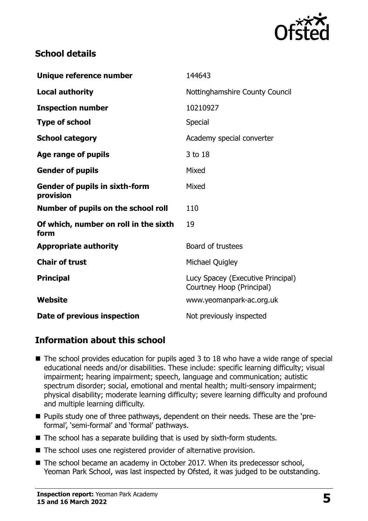

### **School details**

| Unique reference number                            | 144643                                                         |
|----------------------------------------------------|----------------------------------------------------------------|
| <b>Local authority</b>                             | Nottinghamshire County Council                                 |
| <b>Inspection number</b>                           | 10210927                                                       |
| <b>Type of school</b>                              | Special                                                        |
| <b>School category</b>                             | Academy special converter                                      |
| Age range of pupils                                | 3 to 18                                                        |
| <b>Gender of pupils</b>                            | Mixed                                                          |
| <b>Gender of pupils in sixth-form</b><br>provision | Mixed                                                          |
| Number of pupils on the school roll                | 110                                                            |
| Of which, number on roll in the sixth<br>form      | 19                                                             |
| <b>Appropriate authority</b>                       | Board of trustees                                              |
| <b>Chair of trust</b>                              | Michael Quigley                                                |
| <b>Principal</b>                                   | Lucy Spacey (Executive Principal)<br>Courtney Hoop (Principal) |
| Website                                            | www.yeomanpark-ac.org.uk                                       |
| Date of previous inspection                        | Not previously inspected                                       |

# **Information about this school**

- $\blacksquare$  The school provides education for pupils aged 3 to 18 who have a wide range of special educational needs and/or disabilities. These include: specific learning difficulty; visual impairment; hearing impairment; speech, language and communication; autistic spectrum disorder; social, emotional and mental health; multi-sensory impairment; physical disability; moderate learning difficulty; severe learning difficulty and profound and multiple learning difficulty.
- **Pupils study one of three pathways, dependent on their needs. These are the 'pre**formal', 'semi-formal' and 'formal' pathways.
- $\blacksquare$  The school has a separate building that is used by sixth-form students.
- The school uses one registered provider of alternative provision.
- The school became an academy in October 2017. When its predecessor school, Yeoman Park School, was last inspected by Ofsted, it was judged to be outstanding.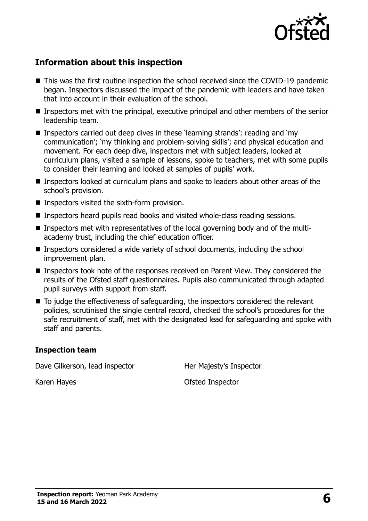

# **Information about this inspection**

- This was the first routine inspection the school received since the COVID-19 pandemic began. Inspectors discussed the impact of the pandemic with leaders and have taken that into account in their evaluation of the school.
- Inspectors met with the principal, executive principal and other members of the senior leadership team.
- Inspectors carried out deep dives in these 'learning strands': reading and 'my communication'; 'my thinking and problem-solving skills'; and physical education and movement. For each deep dive, inspectors met with subject leaders, looked at curriculum plans, visited a sample of lessons, spoke to teachers, met with some pupils to consider their learning and looked at samples of pupils' work.
- Inspectors looked at curriculum plans and spoke to leaders about other areas of the school's provision.
- $\blacksquare$  Inspectors visited the sixth-form provision.
- Inspectors heard pupils read books and visited whole-class reading sessions.
- Inspectors met with representatives of the local governing body and of the multiacademy trust, including the chief education officer.
- Inspectors considered a wide variety of school documents, including the school improvement plan.
- Inspectors took note of the responses received on Parent View. They considered the results of the Ofsted staff questionnaires. Pupils also communicated through adapted pupil surveys with support from staff.
- To judge the effectiveness of safeguarding, the inspectors considered the relevant policies, scrutinised the single central record, checked the school's procedures for the safe recruitment of staff, met with the designated lead for safeguarding and spoke with staff and parents.

#### **Inspection team**

Dave Gilkerson, lead inspector **Her Majesty's Inspector** 

Karen Hayes **Calculates** Controller Controller Controller Controller Controller Controller Controller Controller